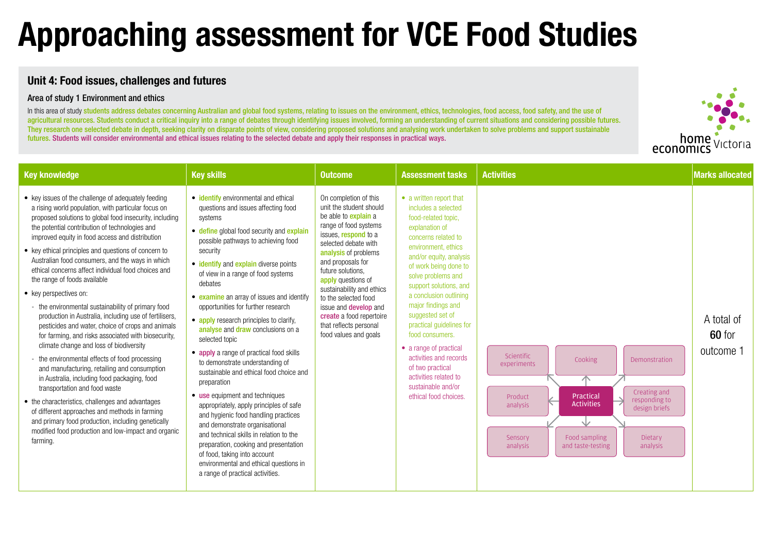## **Unit 4: Food issues, challenges and futures**

### Area of study 1 Environment and ethics

In this area of study students address debates concerning Australian and global food systems, relating to issues on the environment, ethics, technologies, food access, food safety, and the use of agricultural resources. Students conduct a critical inquiry into a range of debates through identifying issues involved, forming an understanding of current situations and considering possible futures. They research one selected debate in depth, seeking clarity on disparate points of view, considering proposed solutions and analysing work undertaken to solve problems and support sustainable futures. Students will consider environmental and ethical issues relating to the selected debate and apply their responses in practical ways.

# **Approaching assessment for VCE Food Studies**

| <b>Key knowledge</b>                                                                                                                                                                                                                                                                                                                                                                                                                                                                                                                                                                                                                                                                                                                                                                                                                                                                                                                                                                                                                                                                                                                                                                             | <b>Key skills</b>                                                                                                                                                                                                                                                                                                                                                                                                                                                                                                                                                                                                                                                                                                                                                                                                                                                                                                                                                       | <b>Outcome</b>                                                                                                                                                                                                                                                                                                                                                                                                       | <b>Assessment tasks</b>                                                                                                                                                                                                                                                                                                                                                                                                                                                                                      | <b>Activities</b>                                                                                                                                                                                                                                              | <b>Marks allocated</b>            |
|--------------------------------------------------------------------------------------------------------------------------------------------------------------------------------------------------------------------------------------------------------------------------------------------------------------------------------------------------------------------------------------------------------------------------------------------------------------------------------------------------------------------------------------------------------------------------------------------------------------------------------------------------------------------------------------------------------------------------------------------------------------------------------------------------------------------------------------------------------------------------------------------------------------------------------------------------------------------------------------------------------------------------------------------------------------------------------------------------------------------------------------------------------------------------------------------------|-------------------------------------------------------------------------------------------------------------------------------------------------------------------------------------------------------------------------------------------------------------------------------------------------------------------------------------------------------------------------------------------------------------------------------------------------------------------------------------------------------------------------------------------------------------------------------------------------------------------------------------------------------------------------------------------------------------------------------------------------------------------------------------------------------------------------------------------------------------------------------------------------------------------------------------------------------------------------|----------------------------------------------------------------------------------------------------------------------------------------------------------------------------------------------------------------------------------------------------------------------------------------------------------------------------------------------------------------------------------------------------------------------|--------------------------------------------------------------------------------------------------------------------------------------------------------------------------------------------------------------------------------------------------------------------------------------------------------------------------------------------------------------------------------------------------------------------------------------------------------------------------------------------------------------|----------------------------------------------------------------------------------------------------------------------------------------------------------------------------------------------------------------------------------------------------------------|-----------------------------------|
| • key issues of the challenge of adequately feeding<br>a rising world population, with particular focus on<br>proposed solutions to global food insecurity, including<br>the potential contribution of technologies and<br>improved equity in food access and distribution<br>• key ethical principles and questions of concern to<br>Australian food consumers, and the ways in which<br>ethical concerns affect individual food choices and<br>the range of foods available<br>• key perspectives on:<br>- the environmental sustainability of primary food<br>production in Australia, including use of fertilisers,<br>pesticides and water, choice of crops and animals<br>for farming, and risks associated with biosecurity,<br>climate change and loss of biodiversity<br>- the environmental effects of food processing<br>and manufacturing, retailing and consumption<br>in Australia, including food packaging, food<br>transportation and food waste<br>• the characteristics, challenges and advantages<br>of different approaches and methods in farming<br>and primary food production, including genetically<br>modified food production and low-impact and organic<br>farming. | • identify environmental and ethical<br>questions and issues affecting food<br>systems<br>• define global food security and explain<br>possible pathways to achieving food<br>security<br>• identify and explain diverse points<br>of view in a range of food systems<br>debates<br>• examine an array of issues and identify<br>opportunities for further research<br>• apply research principles to clarify,<br>analyse and draw conclusions on a<br>selected topic<br>• apply a range of practical food skills<br>to demonstrate understanding of<br>sustainable and ethical food choice and<br>preparation<br>• use equipment and techniques<br>appropriately, apply principles of safe<br>and hygienic food handling practices<br>and demonstrate organisational<br>and technical skills in relation to the<br>preparation, cooking and presentation<br>of food, taking into account<br>environmental and ethical questions in<br>a range of practical activities. | On completion of this<br>unit the student should<br>be able to <b>explain</b> a<br>range of food systems<br>issues, respond to a<br>selected debate with<br>analysis of problems<br>and proposals for<br>future solutions,<br>apply questions of<br>sustainability and ethics<br>to the selected food<br>issue and <b>develop</b> and<br>create a food repertoire<br>that reflects personal<br>food values and goals | • a written report that<br>includes a selected<br>food-related topic,<br>explanation of<br>concerns related to<br>environment, ethics<br>and/or equity, analysis<br>of work being done to<br>solve problems and<br>support solutions, and<br>a conclusion outlining<br>major findings and<br>suggested set of<br>practical guidelines for<br>food consumers.<br>• a range of practical<br>activities and records<br>of two practical<br>activities related to<br>sustainable and/or<br>ethical food choices. | Scientific<br>Cooking<br>Demonstration<br>experiments<br>个<br>Creating and<br>Practical<br>Product<br>responding to<br><b>Activities</b><br>analysis<br>design briefs<br>V<br>Food sampling<br>Sensory<br>Dietary<br>analysis<br>and taste-testing<br>analysis | A total of<br>60 for<br>outcome 1 |